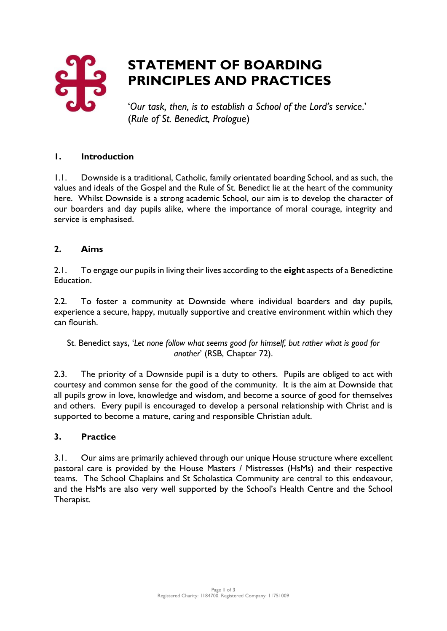

# **STATEMENT OF BOARDING PRINCIPLES AND PRACTICES**

'*Our task, then, is to establish a School of the Lord's service*.' (*Rule of St. Benedict, Prologue*)

### **1. Introduction**

1.1. Downside is a traditional, Catholic, family orientated boarding School, and as such, the values and ideals of the Gospel and the Rule of St. Benedict lie at the heart of the community here. Whilst Downside is a strong academic School, our aim is to develop the character of our boarders and day pupils alike, where the importance of moral courage, integrity and service is emphasised.

#### **2. Aims**

2.1. To engage our pupils in living their lives according to the **eight** aspects of a Benedictine Education.

2.2. To foster a community at Downside where individual boarders and day pupils, experience a secure, happy, mutually supportive and creative environment within which they can flourish.

St. Benedict says, '*Let none follow what seems good for himself, but rather what is good for another*' (RSB, Chapter 72).

2.3. The priority of a Downside pupil is a duty to others. Pupils are obliged to act with courtesy and common sense for the good of the community. It is the aim at Downside that all pupils grow in love, knowledge and wisdom, and become a source of good for themselves and others. Every pupil is encouraged to develop a personal relationship with Christ and is supported to become a mature, caring and responsible Christian adult.

#### **3. Practice**

3.1. Our aims are primarily achieved through our unique House structure where excellent pastoral care is provided by the House Masters / Mistresses (HsMs) and their respective teams. The School Chaplains and St Scholastica Community are central to this endeavour, and the HsMs are also very well supported by the School's Health Centre and the School Therapist.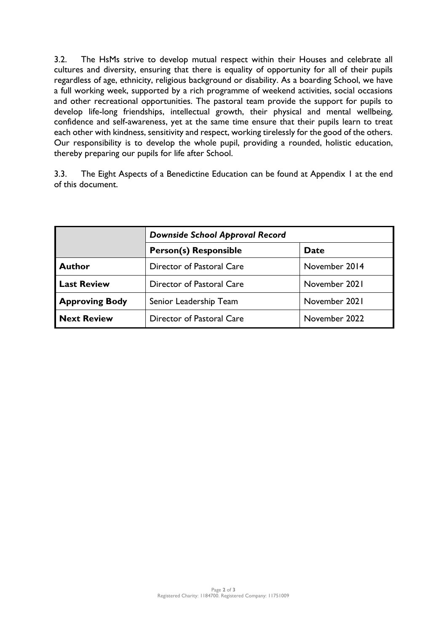3.2. The HsMs strive to develop mutual respect within their Houses and celebrate all cultures and diversity, ensuring that there is equality of opportunity for all of their pupils regardless of age, ethnicity, religious background or disability. As a boarding School, we have a full working week, supported by a rich programme of weekend activities, social occasions and other recreational opportunities. The pastoral team provide the support for pupils to develop life-long friendships, intellectual growth, their physical and mental wellbeing, confidence and self-awareness, yet at the same time ensure that their pupils learn to treat each other with kindness, sensitivity and respect, working tirelessly for the good of the others. Our responsibility is to develop the whole pupil, providing a rounded, holistic education, thereby preparing our pupils for life after School.

3.3. The Eight Aspects of a Benedictine Education can be found at Appendix 1 at the end of this document.

|                       | <b>Downside School Approval Record</b> |               |
|-----------------------|----------------------------------------|---------------|
|                       | <b>Person(s) Responsible</b>           | <b>Date</b>   |
| <b>Author</b>         | Director of Pastoral Care              | November 2014 |
| <b>Last Review</b>    | Director of Pastoral Care              | November 2021 |
| <b>Approving Body</b> | Senior Leadership Team                 | November 2021 |
| <b>Next Review</b>    | Director of Pastoral Care              | November 2022 |